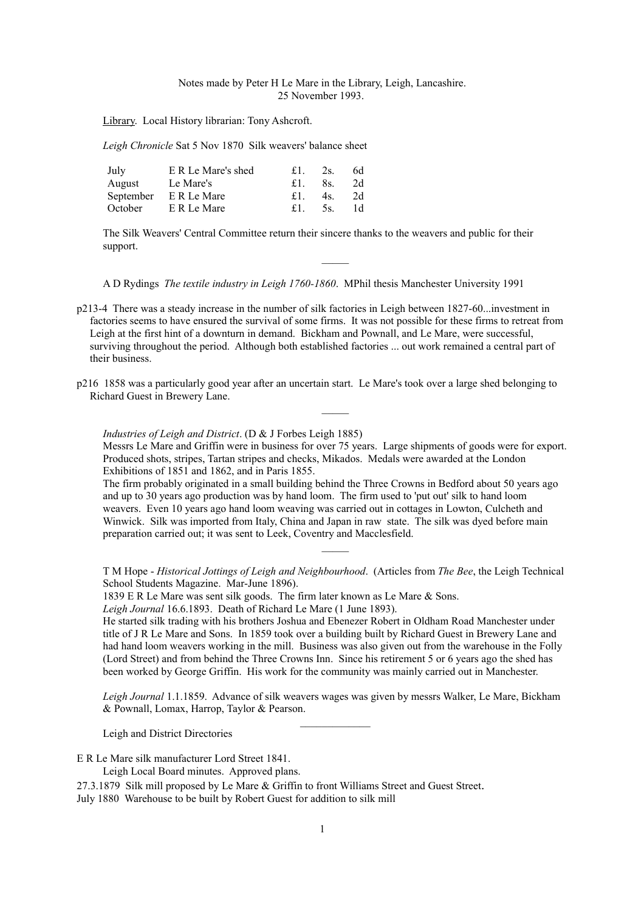## Notes made by Peter H Le Mare in the Library, Leigh, Lancashire. 25 November 1993.

Library. Local History librarian: Tony Ashcroft.

*Leigh Chronicle* Sat 5 Nov 1870 Silk weavers' balance sheet

| July   | E R Le Mare's shed    |    | $\pounds1$ , 2s. | 6d |
|--------|-----------------------|----|------------------|----|
| August | Le Mare's             | £1 | 8s.              | 2d |
|        | September E R Le Mare | £1 | 4s.              | 2d |
|        | October E R Le Mare   | £1 | 5s.              | 1d |

The Silk Weavers' Central Committee return their sincere thanks to the weavers and public for their support.

A D Rydings *The textile industry in Leigh 1760-1860*. MPhil thesis Manchester University 1991

- p213-4 There was a steady increase in the number of silk factories in Leigh between 1827-60...investment in factories seems to have ensured the survival of some firms. It was not possible for these firms to retreat from Leigh at the first hint of a downturn in demand. Bickham and Pownall, and Le Mare, were successful, surviving throughout the period. Although both established factories ... out work remained a central part of their business.
- p216 1858 was a particularly good year after an uncertain start. Le Mare's took over a large shed belonging to Richard Guest in Brewery Lane.

*Industries of Leigh and District*. (D & J Forbes Leigh 1885)

Messrs Le Mare and Griffin were in business for over 75 years. Large shipments of goods were for export. Produced shots, stripes, Tartan stripes and checks, Mikados. Medals were awarded at the London Exhibitions of 1851 and 1862, and in Paris 1855.

 $\mathcal{L}$ 

The firm probably originated in a small building behind the Three Crowns in Bedford about 50 years ago and up to 30 years ago production was by hand loom. The firm used to 'put out' silk to hand loom weavers. Even 10 years ago hand loom weaving was carried out in cottages in Lowton, Culcheth and Winwick. Silk was imported from Italy, China and Japan in raw state. The silk was dyed before main preparation carried out; it was sent to Leek, Coventry and Macclesfield.

T M Hope - *Historical Jottings of Leigh and Neighbourhood*. (Articles from *The Bee*, the Leigh Technical School Students Magazine. Mar-June 1896).

 $\mathcal{L}$ 

1839 E R Le Mare was sent silk goods. The firm later known as Le Mare & Sons.

*Leigh Journal* 16.6.1893. Death of Richard Le Mare (1 June 1893).

He started silk trading with his brothers Joshua and Ebenezer Robert in Oldham Road Manchester under title of J R Le Mare and Sons. In 1859 took over a building built by Richard Guest in Brewery Lane and had hand loom weavers working in the mill. Business was also given out from the warehouse in the Folly (Lord Street) and from behind the Three Crowns Inn. Since his retirement 5 or 6 years ago the shed has been worked by George Griffin. His work for the community was mainly carried out in Manchester.

*Leigh Journal* 1.1.1859. Advance of silk weavers wages was given by messrs Walker, Le Mare, Bickham & Pownall, Lomax, Harrop, Taylor & Pearson.

Leigh and District Directories

E R Le Mare silk manufacturer Lord Street 1841.

Leigh Local Board minutes. Approved plans.

27.3.1879 Silk mill proposed by Le Mare & Griffin to front Williams Street and Guest Street.

July 1880 Warehouse to be built by Robert Guest for addition to silk mill